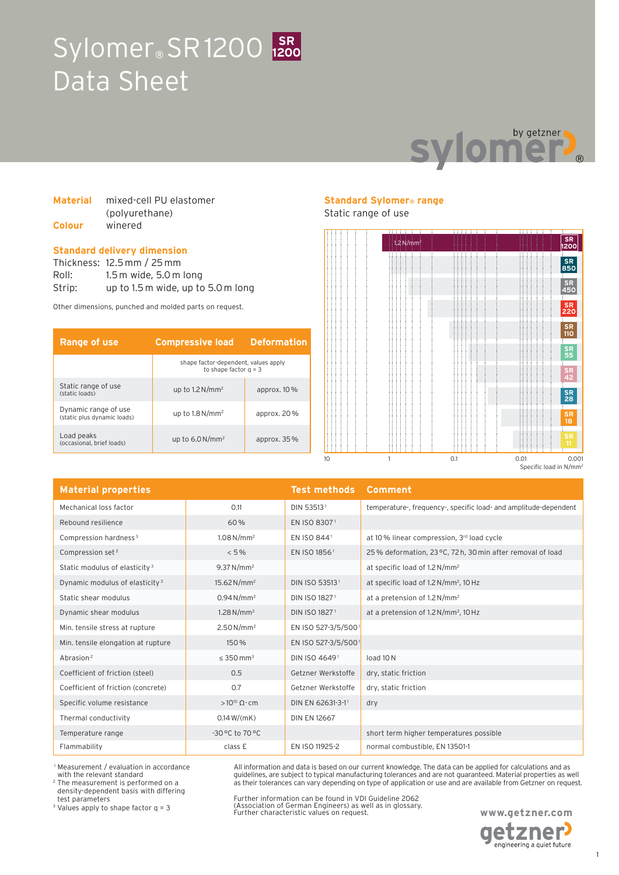# Sylomer<sup>®</sup> SR1200 1200 Data Sheet **1200**



#### **Material** mixed-cell PU elastomer (polyurethane) **Colour** winered

#### **Standard delivery dimension**

Thickness: 12.5 mm / 25 mm Roll: 1.5 m wide, 5.0 m long Strip: up to 1.5 m wide, up to 5.0 m long

Other dimensions, punched and molded parts on request.

| Range of use                                        | <b>Compressive load</b>                                         | <b>Deformation</b> |
|-----------------------------------------------------|-----------------------------------------------------------------|--------------------|
|                                                     | shape factor-dependent, values apply<br>to shape factor $q = 3$ |                    |
| Static range of use<br>(static loads)               | up to $1.2 N/mm^2$                                              | approx. $10\%$     |
| Dynamic range of use<br>(static plus dynamic loads) | up to $1.8\,\mathrm{N/mm^2}$                                    | approx. 20%        |
| Load peaks<br>(occasional, brief loads)             | up to $6.0\,\mathrm{N/mm^2}$                                    | approx. $35\%$     |

### **Standard Sylomer® range**

#### Static range of use



| <b>Material properties</b>                 |                            | <b>Test methods</b>       | <b>Comment</b>                                                   |
|--------------------------------------------|----------------------------|---------------------------|------------------------------------------------------------------|
| Mechanical loss factor                     | 0.11                       | DIN 53513 <sup>1</sup>    | temperature-, frequency-, specific load- and amplitude-dependent |
| Rebound resilience                         | 60%                        | EN ISO 83071              |                                                                  |
| Compression hardness <sup>3</sup>          | $1.08 N/mm^2$              | EN ISO 8441               | at 10% linear compression, 3rd load cycle                        |
| Compression set <sup>2</sup>               | $< 5\%$                    | EN ISO 1856 <sup>1</sup>  | 25% deformation, 23 °C, 72 h, 30 min after removal of load       |
| Static modulus of elasticity <sup>3</sup>  | $9.37 N/mm^2$              |                           | at specific load of 1.2 N/mm <sup>2</sup>                        |
| Dynamic modulus of elasticity <sup>3</sup> | $15.62 N/mm^2$             | DIN ISO 535131            | at specific load of 1.2 N/mm <sup>2</sup> , 10 Hz                |
| Static shear modulus                       | $0.94 N/mm^2$              | DIN ISO 18271             | at a pretension of 1.2 N/mm <sup>2</sup>                         |
| Dynamic shear modulus                      | $1.28\,\mathrm{N/mm^2}$    | DIN ISO 1827 <sup>1</sup> | at a pretension of $1.2 \text{ N/mm}^2$ , $10 \text{ Hz}$        |
| Min. tensile stress at rupture             | 2.50 N/mm <sup>2</sup>     | EN ISO 527-3/5/5001       |                                                                  |
| Min. tensile elongation at rupture         | 150 %                      | EN ISO 527-3/5/5001       |                                                                  |
| Abrasion <sup>2</sup>                      | $\leq$ 350 mm <sup>3</sup> | DIN ISO 46491             | load 10N                                                         |
| Coefficient of friction (steel)            | 0.5                        | Getzner Werkstoffe        | dry, static friction                                             |
| Coefficient of friction (concrete)         | 0.7                        | Getzner Werkstoffe        | dry, static friction                                             |
| Specific volume resistance                 | $>10^{10} \Omega \cdot cm$ | DIN EN 62631-3-11         | dry                                                              |
| Thermal conductivity                       | 0.14 W/(mK)                | <b>DIN EN 12667</b>       |                                                                  |
| Temperature range                          | -30 °C to 70 °C            |                           | short term higher temperatures possible                          |
| Flammability                               | class E                    | EN ISO 11925-2            | normal combustible, EN 13501-1                                   |

 1 Measurement / evaluation in accordance with the relevant standard

2 The measurement is performed on a density-dependent basis with differing test parameters

3 Values apply to shape factor q = 3

Further information can be found in VDI Guideline 2062 (Association of German Engineers) as well as in glossary. Further characteristic values on request.

All information and data is based on our current knowledge. The data can be applied for calculations and as guidelines, are subject to typical manufacturing tolerances and are not guaranteed. Material properties as well as their tolerances can vary depending on type of application or use and are available from Getzner on request.

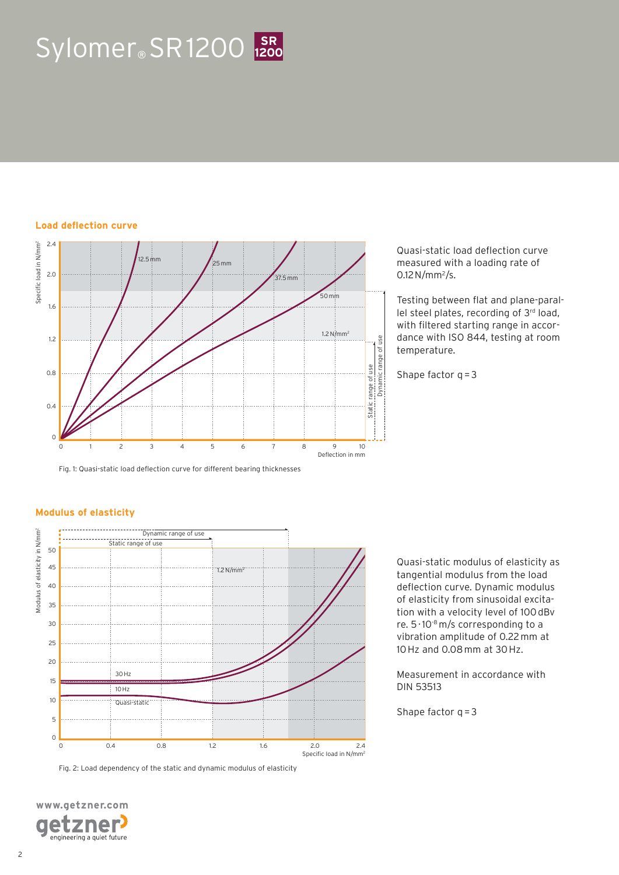# $Sylomer<sub>®</sub> SR 1200$  **1200**

#### **Load deflection curve**



Fig. 1: Quasi-static load deflection curve for different bearing thicknesses

Quasi-static load deflection curve measured with a loading rate of 0.12 N/mm<sup>2</sup>/s.

Testing between flat and plane-parallel steel plates, recording of 3rd load, with filtered starting range in accordance with ISO 844, testing at room temperature.

Shape factor  $q = 3$ 

#### **Modulus of elasticity**



Fig. 2: Load dependency of the static and dynamic modulus of elasticity

**www.getzner.com**  zner e engineering a quiet future Quasi-static modulus of elasticity as tangential modulus from the load deflection curve. Dynamic modulus of elasticity from sinusoidal excitation with a velocity level of 100 dBv re. 5 · 10-8 m/s corresponding to a vibration amplitude of 0.22 mm at 10 Hz and 0.08 mm at 30 Hz.

Measurement in accordance with DIN 53513

Shape factor  $q = 3$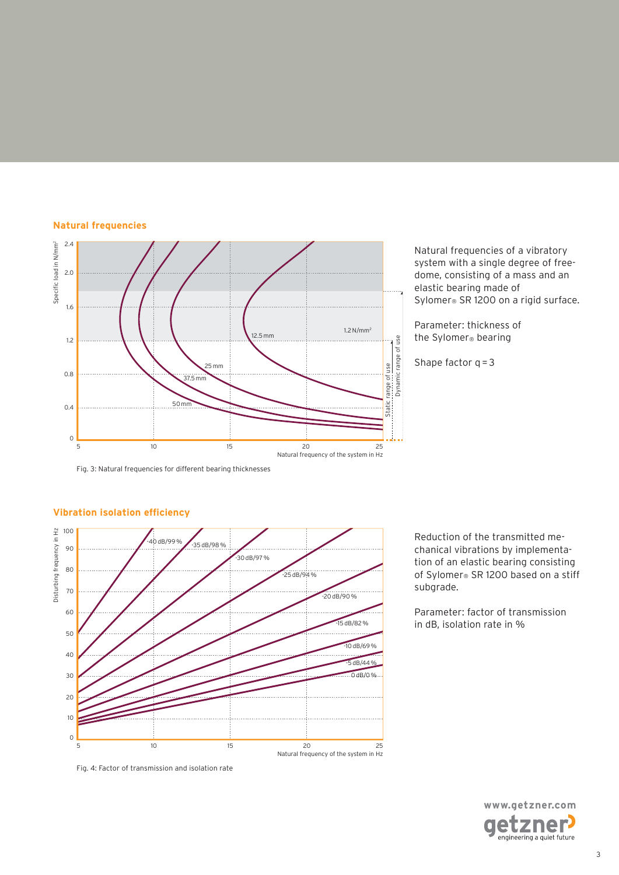#### **Natural frequencies**



Natural frequencies of a vibratory system with a single degree of freedome, consisting of a mass and an elastic bearing made of Sylomer® SR 1200 on a rigid surface.

Parameter: thickness of the Sylomer® bearing

Shape factor  $q = 3$ 

Fig. 3: Natural frequencies for different bearing thicknesses



## **Vibration isolation efficiency**

chanical vibrations by implementation of an elastic bearing consisting of Sylomer® SR 1200 based on a stiff subgrade.

Reduction of the transmitted me-

Parameter: factor of transmission in dB, isolation rate in %

> **www.getzner.com**  tzner engineering a quiet future